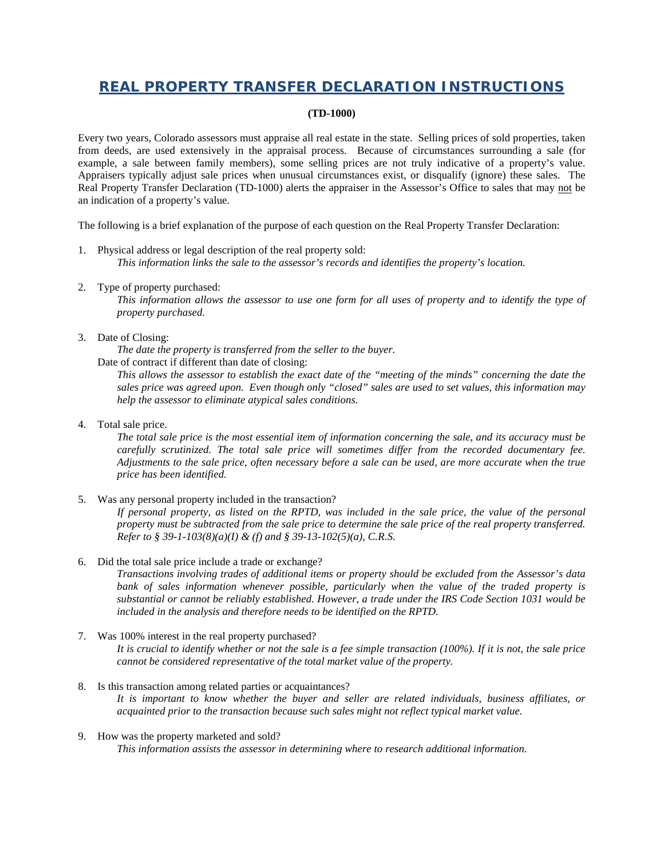## **REAL PROPERTY TRANSFER DECLARATION INSTRUCTIONS**

## **(TD-1000)**

Every two years, Colorado assessors must appraise all real estate in the state. Selling prices of sold properties, taken from deeds, are used extensively in the appraisal process. Because of circumstances surrounding a sale (for example, a sale between family members), some selling prices are not truly indicative of a property's value. Appraisers typically adjust sale prices when unusual circumstances exist, or disqualify (ignore) these sales. The Real Property Transfer Declaration (TD-1000) alerts the appraiser in the Assessor's Office to sales that may not be an indication of a property's value.

The following is a brief explanation of the purpose of each question on the Real Property Transfer Declaration:

- 1. Physical address or legal description of the real property sold: *This information links the sale to the assessor's records and identifies the property's location.*
- 2. Type of property purchased:

*This information allows the assessor to use one form for all uses of property and to identify the type of property purchased.*

3. Date of Closing:

*The date the property is transferred from the seller to the buyer.*

Date of contract if different than date of closing:

*This allows the assessor to establish the exact date of the "meeting of the minds" concerning the date the sales price was agreed upon. Even though only "closed" sales are used to set values, this information may help the assessor to eliminate atypical sales conditions.*

4. Total sale price.

*The total sale price is the most essential item of information concerning the sale, and its accuracy must be carefully scrutinized. The total sale price will sometimes differ from the recorded documentary fee. Adjustments to the sale price, often necessary before a sale can be used, are more accurate when the true price has been identified.*

5. Was any personal property included in the transaction?

*If personal property, as listed on the RPTD, was included in the sale price, the value of the personal property must be subtracted from the sale price to determine the sale price of the real property transferred. Refer to § 39-1-103(8)(a)(I) & (f) and § 39-13-102(5)(a), C.R.S.*

6. Did the total sale price include a trade or exchange?

*Transactions involving trades of additional items or property should be excluded from the Assessor's data bank of sales information whenever possible, particularly when the value of the traded property is substantial or cannot be reliably established. However, a trade under the IRS Code Section 1031 would be included in the analysis and therefore needs to be identified on the RPTD.*

- 7. Was 100% interest in the real property purchased? *It is crucial to identify whether or not the sale is a fee simple transaction (100%). If it is not, the sale price cannot be considered representative of the total market value of the property.*
- 8. Is this transaction among related parties or acquaintances? *It is important to know whether the buyer and seller are related individuals, business affiliates, or acquainted prior to the transaction because such sales might not reflect typical market value.*
- 9. How was the property marketed and sold? *This information assists the assessor in determining where to research additional information.*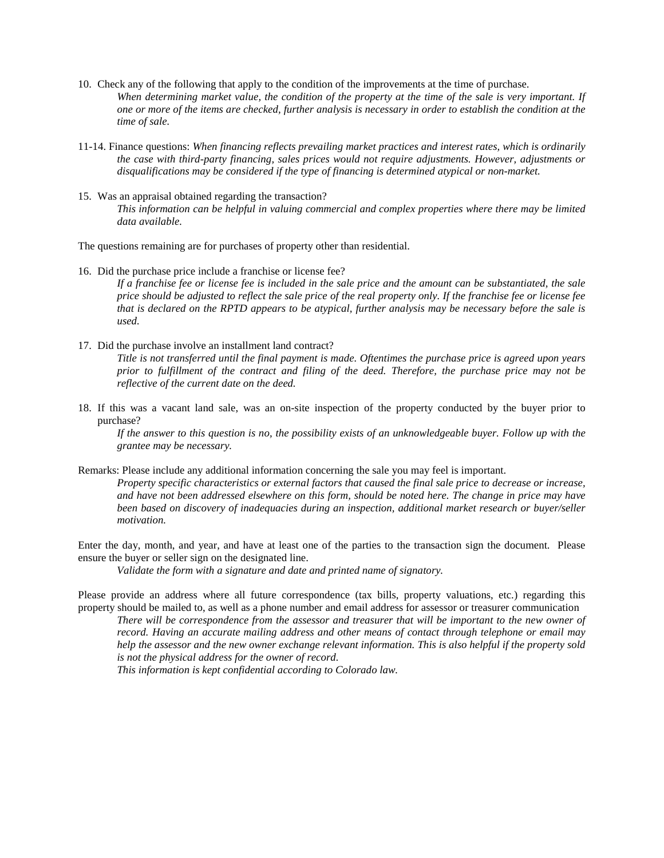- 10. Check any of the following that apply to the condition of the improvements at the time of purchase. *When determining market value, the condition of the property at the time of the sale is very important. If one or more of the items are checked, further analysis is necessary in order to establish the condition at the time of sale.*
- 11-14. Finance questions: *When financing reflects prevailing market practices and interest rates, which is ordinarily the case with third-party financing, sales prices would not require adjustments. However, adjustments or disqualifications may be considered if the type of financing is determined atypical or non-market.*
- 15. Was an appraisal obtained regarding the transaction? *This information can be helpful in valuing commercial and complex properties where there may be limited data available.*

The questions remaining are for purchases of property other than residential.

*used.*

- 16. Did the purchase price include a franchise or license fee? *If a franchise fee or license fee is included in the sale price and the amount can be substantiated, the sale price should be adjusted to reflect the sale price of the real property only. If the franchise fee or license fee that is declared on the RPTD appears to be atypical, further analysis may be necessary before the sale is*
- 17. Did the purchase involve an installment land contract? *Title is not transferred until the final payment is made. Oftentimes the purchase price is agreed upon years prior to fulfillment of the contract and filing of the deed. Therefore, the purchase price may not be reflective of the current date on the deed.*
- 18. If this was a vacant land sale, was an on-site inspection of the property conducted by the buyer prior to purchase?

*If the answer to this question is no, the possibility exists of an unknowledgeable buyer. Follow up with the grantee may be necessary.*

Remarks: Please include any additional information concerning the sale you may feel is important.

*Property specific characteristics or external factors that caused the final sale price to decrease or increase, and have not been addressed elsewhere on this form, should be noted here. The change in price may have been based on discovery of inadequacies during an inspection, additional market research or buyer/seller motivation.*

Enter the day, month, and year, and have at least one of the parties to the transaction sign the document. Please ensure the buyer or seller sign on the designated line.

*Validate the form with a signature and date and printed name of signatory.*

Please provide an address where all future correspondence (tax bills, property valuations, etc.) regarding this property should be mailed to, as well as a phone number and email address for assessor or treasurer communication

*There will be correspondence from the assessor and treasurer that will be important to the new owner of record. Having an accurate mailing address and other means of contact through telephone or email may help the assessor and the new owner exchange relevant information. This is also helpful if the property sold is not the physical address for the owner of record.*

*This information is kept confidential according to Colorado law.*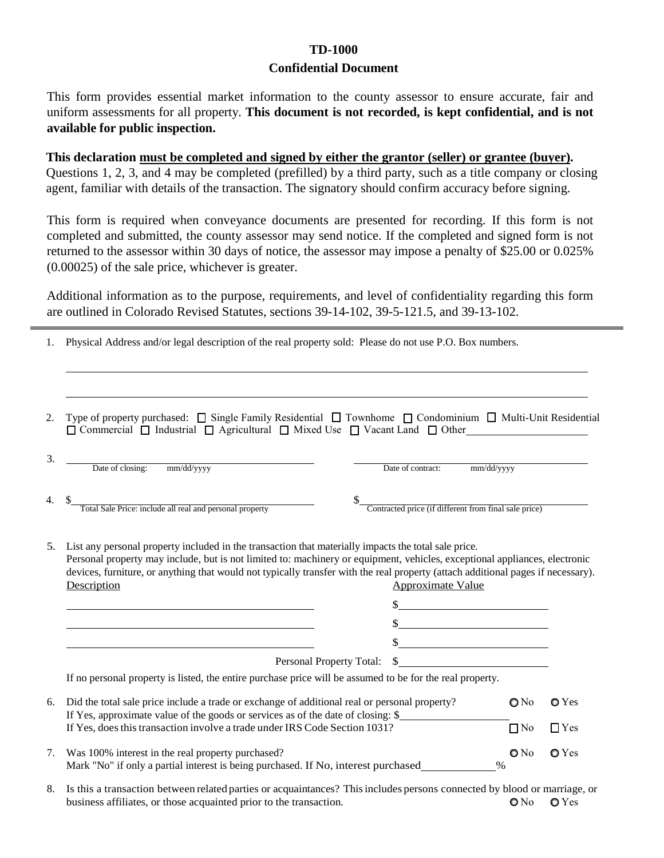## **TD-1000 Confidential Document**

This form provides essential market information to the county assessor to ensure accurate, fair and uniform assessments for all property. **This document is not recorded, is kept confidential, and is not available for public inspection.**

**This declaration must be completed and signed by either the grantor (seller) or grantee (buyer).**  Questions 1, 2, 3, and 4 may be completed (prefilled) by a third party, such as a title company or closing agent, familiar with details of the transaction. The signatory should confirm accuracy before signing.

This form is required when conveyance documents are presented for recording. If this form is not completed and submitted, the county assessor may send notice. If the completed and signed form is not returned to the assessor within 30 days of notice, the assessor may impose a penalty of \$25.00 or 0.025% (0.00025) of the sale price, whichever is greater.

Additional information as to the purpose, requirements, and level of confidentiality regarding this form are outlined in Colorado Revised Statutes, sections 39-14-102, 39-5-121.5, and 39-13-102.

1. Physical Address and/or legal description of the real property sold: Please do not use P.O. Box numbers.

| 2. | Type of property purchased: $\Box$ Single Family Residential $\Box$ Townhome $\Box$ Condominium $\Box$ Multi-Unit Residential<br>$\Box$ Commercial $\Box$ Industrial $\Box$ Agricultural $\Box$ Mixed Use $\Box$ Vacant Land $\Box$ Other                                                                                                                                                                         |                          |                                                       |                         |               |  |
|----|-------------------------------------------------------------------------------------------------------------------------------------------------------------------------------------------------------------------------------------------------------------------------------------------------------------------------------------------------------------------------------------------------------------------|--------------------------|-------------------------------------------------------|-------------------------|---------------|--|
| 3. | Date of closing: mm/dd/yyyy                                                                                                                                                                                                                                                                                                                                                                                       |                          | Date of contract:                                     | mm/dd/yyyy              |               |  |
|    | Total Sale Price: include all real and personal property                                                                                                                                                                                                                                                                                                                                                          |                          | Contracted price (if different from final sale price) |                         |               |  |
| 5. | List any personal property included in the transaction that materially impacts the total sale price.<br>Personal property may include, but is not limited to: machinery or equipment, vehicles, exceptional appliances, electronic<br>devices, furniture, or anything that would not typically transfer with the real property (attach additional pages if necessary).<br>Description<br><b>Approximate Value</b> |                          |                                                       |                         |               |  |
|    |                                                                                                                                                                                                                                                                                                                                                                                                                   |                          | $\frac{\text{S}}{\text{S}}$                           |                         |               |  |
|    |                                                                                                                                                                                                                                                                                                                                                                                                                   |                          | $\frac{1}{2}$                                         |                         |               |  |
|    |                                                                                                                                                                                                                                                                                                                                                                                                                   |                          | $\frac{1}{2}$                                         |                         |               |  |
|    |                                                                                                                                                                                                                                                                                                                                                                                                                   | Personal Property Total: | $\sim$                                                |                         |               |  |
|    | If no personal property is listed, the entire purchase price will be assumed to be for the real property.                                                                                                                                                                                                                                                                                                         |                          |                                                       |                         |               |  |
| 6. | Did the total sale price include a trade or exchange of additional real or personal property?<br>If Yes, approximate value of the goods or services as of the date of closing: \$                                                                                                                                                                                                                                 |                          |                                                       | $\bigcirc$ No           | $\bullet$ Yes |  |
|    | If Yes, does this transaction involve a trade under IRS Code Section 1031?                                                                                                                                                                                                                                                                                                                                        |                          |                                                       | $\Box$ No               | $\Box$ Yes    |  |
| 7. | Was 100% interest in the real property purchased?<br>Mark "No" if only a partial interest is being purchased. If No, interest purchased                                                                                                                                                                                                                                                                           |                          |                                                       | $\mathbf{O}$ No<br>$\%$ | OYes          |  |

8. Is this a transaction between related parties or acquaintances? This includes persons connected by blood or marriage, or business affiliates, or those acquainted prior to the transaction.  $Q$  No  $Q$  Yes